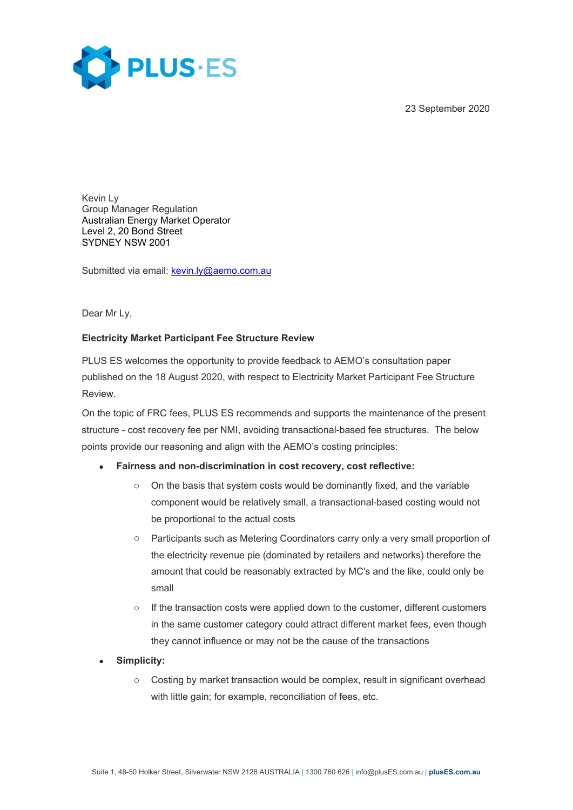23 September 2020



Kevin Ly Group Manager Regulation Australian Energy Market Operator Level 2, 20 Bond Street SYDNEY NSW 2001

Submitted via email: [kevin.ly@aemo.com.au](mailto:kevin.ly@aemo.com.au)

Dear Mr Ly,

## **Electricity Market Participant Fee Structure Review**

PLUS ES welcomes the opportunity to provide feedback to AEMO's consultation paper published on the 18 August 2020, with respect to Electricity Market Participant Fee Structure Review.

On the topic of FRC fees, PLUS ES recommends and supports the maintenance of the present structure - cost recovery fee per NMI, avoiding transactional-based fee structures. The below points provide our reasoning and align with the AEMO's costing principles:

## • **Fairness and non-discrimination in cost recovery, cost reflective:**

- $\circ$  On the basis that system costs would be dominantly fixed, and the variable component would be relatively small, a transactional-based costing would not be proportional to the actual costs
- o Participants such as Metering Coordinators carry only a very small proportion of the electricity revenue pie (dominated by retailers and networks) therefore the amount that could be reasonably extracted by MC's and the like, could only be small
- $\circ$  If the transaction costs were applied down to the customer, different customers in the same customer category could attract different market fees, even though they cannot influence or may not be the cause of the transactions
- **Simplicity:**
	- $\circ$  Costing by market transaction would be complex, result in significant overhead with little gain; for example, reconciliation of fees, etc.